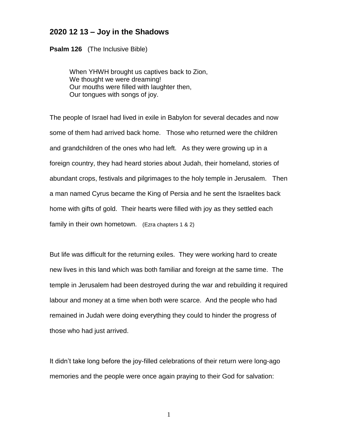## **2020 12 13 – Joy in the Shadows**

**Psalm 126** (The Inclusive Bible)

When YHWH brought us captives back to Zion, We thought we were dreaming! Our mouths were filled with laughter then, Our tongues with songs of joy.

The people of Israel had lived in exile in Babylon for several decades and now some of them had arrived back home. Those who returned were the children and grandchildren of the ones who had left. As they were growing up in a foreign country, they had heard stories about Judah, their homeland, stories of abundant crops, festivals and pilgrimages to the holy temple in Jerusalem. Then a man named Cyrus became the King of Persia and he sent the Israelites back home with gifts of gold. Their hearts were filled with joy as they settled each family in their own hometown. (Ezra chapters 1 & 2)

But life was difficult for the returning exiles. They were working hard to create new lives in this land which was both familiar and foreign at the same time. The temple in Jerusalem had been destroyed during the war and rebuilding it required labour and money at a time when both were scarce. And the people who had remained in Judah were doing everything they could to hinder the progress of those who had just arrived.

It didn't take long before the joy-filled celebrations of their return were long-ago memories and the people were once again praying to their God for salvation: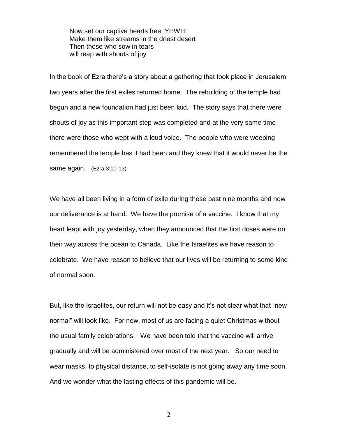Now set our captive hearts free, YHWH! Make them like streams in the driest desert Then those who sow in tears will reap with shouts of joy

In the book of Ezra there's a story about a gathering that took place in Jerusalem two years after the first exiles returned home. The rebuilding of the temple had begun and a new foundation had just been laid. The story says that there were shouts of joy as this important step was completed and at the very same time there were those who wept with a loud voice. The people who were weeping remembered the temple has it had been and they knew that it would never be the same again. (Ezra 3:10-13)

We have all been living in a form of exile during these past nine months and now our deliverance is at hand. We have the promise of a vaccine. I know that my heart leapt with joy yesterday, when they announced that the first doses were on their way across the ocean to Canada. Like the Israelites we have reason to celebrate. We have reason to believe that our lives will be returning to some kind of normal soon.

But, like the Israelites, our return will not be easy and it's not clear what that "new normal" will look like. For now, most of us are facing a quiet Christmas without the usual family celebrations. We have been told that the vaccine will arrive gradually and will be administered over most of the next year. So our need to wear masks, to physical distance, to self-isolate is not going away any time soon. And we wonder what the lasting effects of this pandemic will be.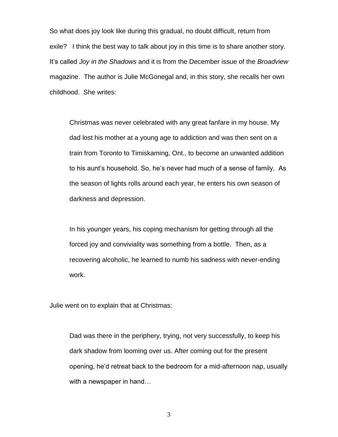So what does joy look like during this gradual, no doubt difficult, return from exile? I think the best way to talk about joy in this time is to share another story. It's called *Joy in the Shadows* and it is from the December issue of the *Broadview*  magazine. The author is Julie McGonegal and, in this story, she recalls her own childhood. She writes:

Christmas was never celebrated with any great fanfare in my house. My dad lost his mother at a young age to addiction and was then sent on a train from Toronto to Timiskaming, Ont., to become an unwanted addition to his aunt's household. So, he's never had much of a sense of family. As the season of lights rolls around each year, he enters his own season of darkness and depression.

In his younger years, his coping mechanism for getting through all the forced joy and conviviality was something from a bottle. Then, as a recovering alcoholic, he learned to numb his sadness with never-ending work.

Julie went on to explain that at Christmas:

Dad was there in the periphery, trying, not very successfully, to keep his dark shadow from looming over us. After coming out for the present opening, he'd retreat back to the bedroom for a mid-afternoon nap, usually with a newspaper in hand…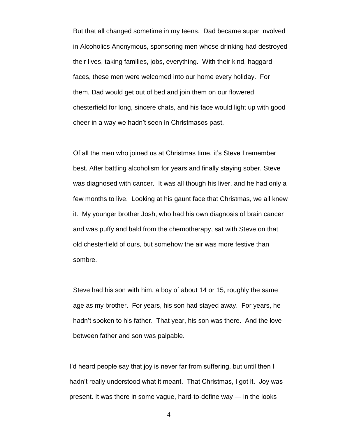But that all changed sometime in my teens. Dad became super involved in Alcoholics Anonymous, sponsoring men whose drinking had destroyed their lives, taking families, jobs, everything. With their kind, haggard faces, these men were welcomed into our home every holiday. For them, Dad would get out of bed and join them on our flowered chesterfield for long, sincere chats, and his face would light up with good cheer in a way we hadn't seen in Christmases past.

Of all the men who joined us at Christmas time, it's Steve I remember best. After battling alcoholism for years and finally staying sober, Steve was diagnosed with cancer. It was all though his liver, and he had only a few months to live. Looking at his gaunt face that Christmas, we all knew it. My younger brother Josh, who had his own diagnosis of brain cancer and was puffy and bald from the chemotherapy, sat with Steve on that old chesterfield of ours, but somehow the air was more festive than sombre.

Steve had his son with him, a boy of about 14 or 15, roughly the same age as my brother. For years, his son had stayed away. For years, he hadn't spoken to his father. That year, his son was there. And the love between father and son was palpable.

I'd heard people say that joy is never far from suffering, but until then I hadn't really understood what it meant. That Christmas, I got it. Joy was present. It was there in some vague, hard-to-define way — in the looks